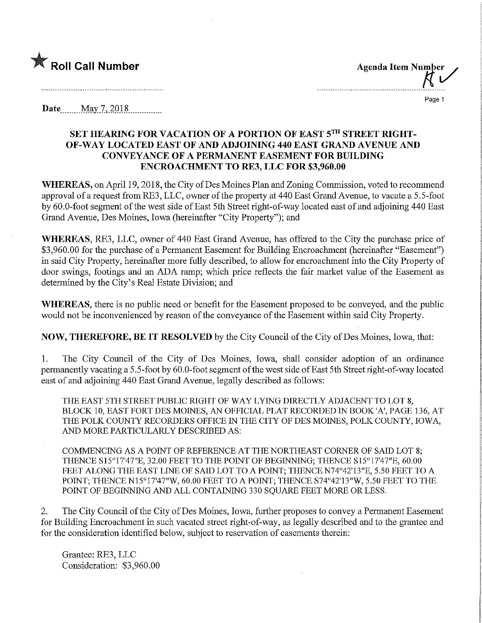

**Agenda Item Number** 

Page 1

**Date** May 7, 2018

## SET HEARING FOR VACATION OF A PORTION OF EAST 5TH STREET RIGHT-OF-WAY LOCATED EAST OF AND ADJOINING 440 EAST GRAND AVENUE AND CONVEYANCE OF A PERMANENT EASEMENT FOR BUILDING ENCROACHMENT TO RE3, LLC FOR \$3,960.00

WHEREAS, on April 19, 2018, the City of Des Moines Plan and Zoning Commission, voted to recommend approval of a request from RE3, LLC, owner of the property at 440 East Grand Avenue, to vacate a 5.5-foot by 60.0-foot segment of the west side of East 5th Street right-of-way located east of and adjoining 440 East Grand Avenue, Des Moines, Iowa (hereinafter "City Property"), and

WHEREAS, RE3, LLC, owner of 440 East Grand Avenue, has offered to the City the purchase price of \$3,960.00 for the purchase of a Permanent Easement for Building Encroachment (hereinafter "Easement") in said City Property, hereinafter more fully described, to allow for encroachment into the City Property of door swings, footings and an ADA ramp; which price reflects the fair market value of the Easement as determined by the City's Real Estate Division; and

WHEREAS, there is no public need or benefit for the Easement proposed to be conveyed, and the public would not be inconvenienced by reason of the conveyance of the Easement within said City Property.

NOW, THEREFORE, BE IT RESOLVED by the City Council of the City of Des Moines, Iowa, that:

1. The City Council of the City of Des Moines, Iowa, shall consider adoption of an ordinance permanently vacating a 5.5-foot by 60.0-foot segment of the west side of East 5th Street right-of-way located east of and adjoining 440 East Grand Avenue, legally described as follows:

THE EAST 5TH STREET PUBLIC RIGHT OF WAY LYING DIRECTLY ADJACENT TO LOT 8, BLOCK 10, EAST FORT DES MOINES, AN OFFICIAL PLAT RECORDED IN BOOK 'A', PAGE 136, AT THE POLK COUNTY RECORDERS OFFICE IN THE CITY OF DES MOINES, POLK COUNTY, IOWA, AND MORE PARTICULARLY DESCRIBED AS:

COMMENCING AS A POINT OF REFERENCE AT THE NORTHEAST CORNER OF SAID LOT 8; THENCE S15°17'47"E, 32.00 FEET TO THE POINT OF BEGINNING; THENCE S15°17'47"E, 60.00 FEET ALONG THE EAST LINE OF SAID LOT TO A POINT; THENCE N74°42'13"E, 5.50 FEET TO A POINT; THENCE N15°17'47"W, 60.00 FEET TO A POINT; THENCE S74°42'13"W, 5.50 FEET TO THE POINT OF BEGINNING AND ALL CONTAINING 330 SOUARE FEET MORE OR LESS.

2. The City Council of the City of Des Moines, Iowa, further proposes to convey a Permanent Easement for Building Bncroachment in such vacated street right-of-way, as legally described and to the grantee and for the consideration identified below, subject to reservation of easements therein:

Grantee: RE3, LLC Consideration: \$3,960.00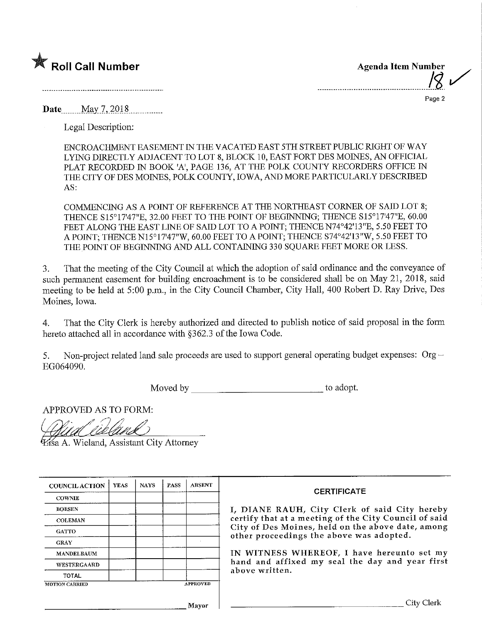

Agenda Item Number

Page 2

 $\overline{\phantom{a}}$ 

Date May 7, 2018

Legal Description:

ENCROACHMENT EASEMENT IN THE VACATED EAST 5TH STREBT PUBLIC RIGHT OF WAY LYING DIRECTLY ADJACENT TO LOT 8, BLOCK 10, EAST FORT DES MOINES, AN OFFICIAL PLAT RECORDED IN BOOK 'A', PAGE 136, AT THE POLK COUNTY RECORDERS OFFICE IN THE CITY OF DES MOINES, POLK COUNTY, IOWA, AND MORE PARTICULARLY DESCRIBED AS:

COMMENCING AS A POINT OF REFERENCE AT THE NORTHEAST CORNER OF SAID LOT 8; THENCE S15°17'47"E, 32.00 FEET TO THE POINT OF BEGINNING; THENCE S15°17'47"E, 60.00 FEET ALONG THE EAST LINE OF SAID LOT TO A POINT; THENCE N74°42'13"E, 5.50 FEET TO A POINT; THENCE N15°17'47"W, 60.00 FEET TO A POINT; THENCE S74°42'13"W, 5.50 FEET TO THE POINT OF BEGINNING AND ALL CONTAINING 330 SQUARE FEET MORE OR LESS.

3. That the meeting of the City Council at which the adoption of said ordinance and the conveyance of such permanent easement for building encroachment is to be considered shall be on May 21, 2018, said meeting to be held at 5:00 p.m., in the City Council Chamber, City Hall, 400 Robert D. Ray Drive, Des Moines, Iowa.

4. That the City Clerk is hereby authorized and directed to publish notice of said proposal in the form hereto attached all in accordance with §362.3 of the Iowa Code.

5. Non-project related land sale proceeds are used to support general operating budget expenses:  $Org -$ EG064090.

Moved by to adopt.

APPROVED AS TO FORM:

^a A. Wieland, Assistant City Attorney

| <b>COUNCIL ACTION</b> | <b>YEAS</b> | <b>NAYS</b> | PASS | <b>ABSENT</b>   |
|-----------------------|-------------|-------------|------|-----------------|
| <b>COWNIE</b>         |             |             |      |                 |
| <b>BOESEN</b>         |             |             |      |                 |
| <b>COLEMAN</b>        |             |             |      |                 |
| <b>GATTO</b>          |             |             |      |                 |
| <b>GRAY</b>           |             |             |      | ×.              |
| <b>MANDELBAUM</b>     |             |             |      |                 |
| WESTERGAARD           |             |             |      |                 |
| <b>TOTAL</b>          |             |             |      |                 |
| <b>MOTION CARRIED</b> |             |             |      | <b>APPROVED</b> |

## **CERTIFICATE**

I, DIANE RAUH, City Clerk of said City hereby certify that at a meeting of the City Council of said City of Des Moines, held on the above date, among other proceedings the above was adopted.

IN WITNESS WHEREOF, I have hereunto set my hand and affixed my seal the day and year first above written.

Mayor